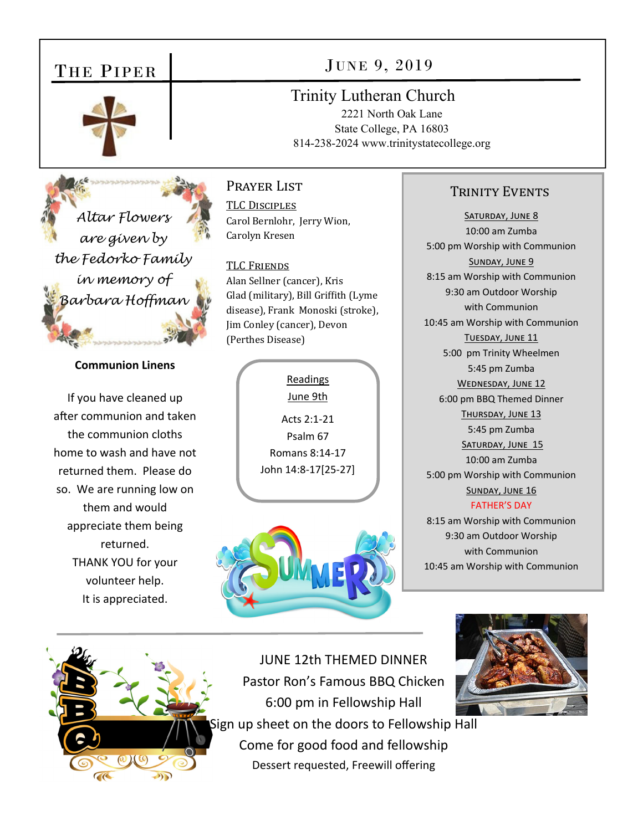## THE PIPER



JUNE 9, 2019

Trinity Lutheran Church

2221 North Oak Lane State College, PA 16803 814-238-2024 www.trinitystatecollege.org

*Altar Flowers are given by the Fedorko Family in memory of Barbara Hoffman* 

## **Communion Linens**

If you have cleaned up after communion and taken the communion cloths home to wash and have not returned them. Please do so. We are running low on them and would appreciate them being returned. THANK YOU for your volunteer help. It is appreciated.

TLC DISCIPLES Carol Bernlohr, Jerry Wion, Carolyn Kresen

TLC FRIENDS Alan Sellner (cancer), Kris

Prayer List

Glad (military), Bill Griffith (Lyme disease), Frank Monoski (stroke), Jim Conley (cancer), Devon (Perthes Disease)

> Readings June 9th Acts 2:1‐21 Psalm 67 Romans 8:14‐17 John 14:8‐17[25‐27]





SATURDAY, JUNE 8 10:00 am Zumba 5:00 pm Worship with Communion SUNDAY, JUNE 9 8:15 am Worship with Communion 9:30 am Outdoor Worship with Communion 10:45 am Worship with Communion TUESDAY, JUNE 11 5:00 pm Trinity Wheelmen 5:45 pm Zumba WEDNESDAY, JUNE 12 6:00 pm BBQ Themed Dinner THURSDAY, JUNE 13 5:45 pm Zumba SATURDAY, JUNE 15 10:00 am Zumba 5:00 pm Worship with Communion SUNDAY, JUNE 16 FATHER'S DAY

8:15 am Worship with Communion 9:30 am Outdoor Worship with Communion 10:45 am Worship with Communion



JUNE 12th THEMED DINNER Pastor Ron's Famous BBQ Chicken 6:00 pm in Fellowship Hall ign up sheet on the doors to Fellowship Hall Come for good food and fellowship Dessert requested, Freewill offering